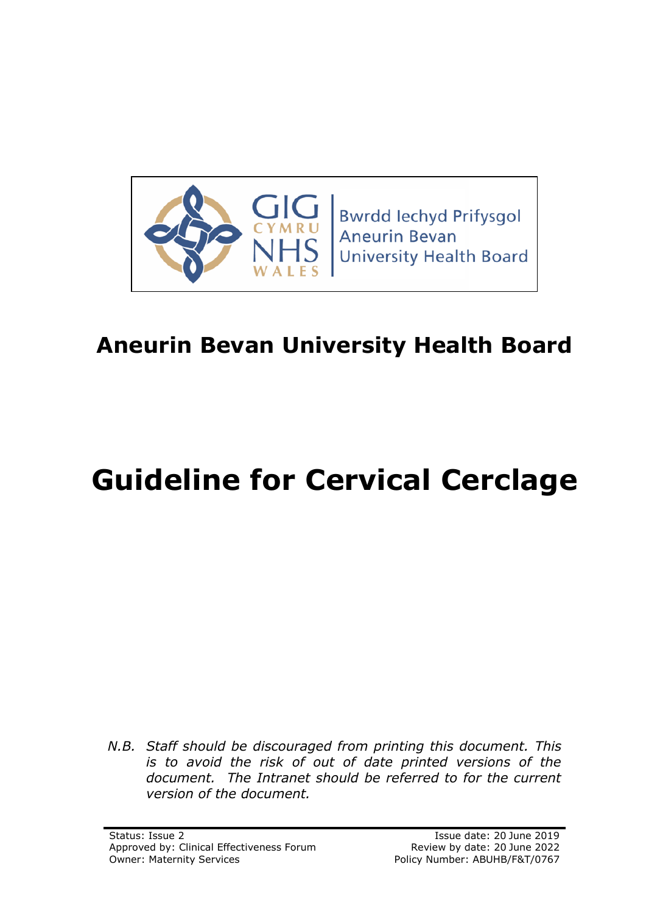

# **Aneurin Bevan University Health Board**

# **Guideline for Cervical Cerclage**

*N.B. Staff should be discouraged from printing this document. This is to avoid the risk of out of date printed versions of the document. The Intranet should be referred to for the current version of the document.*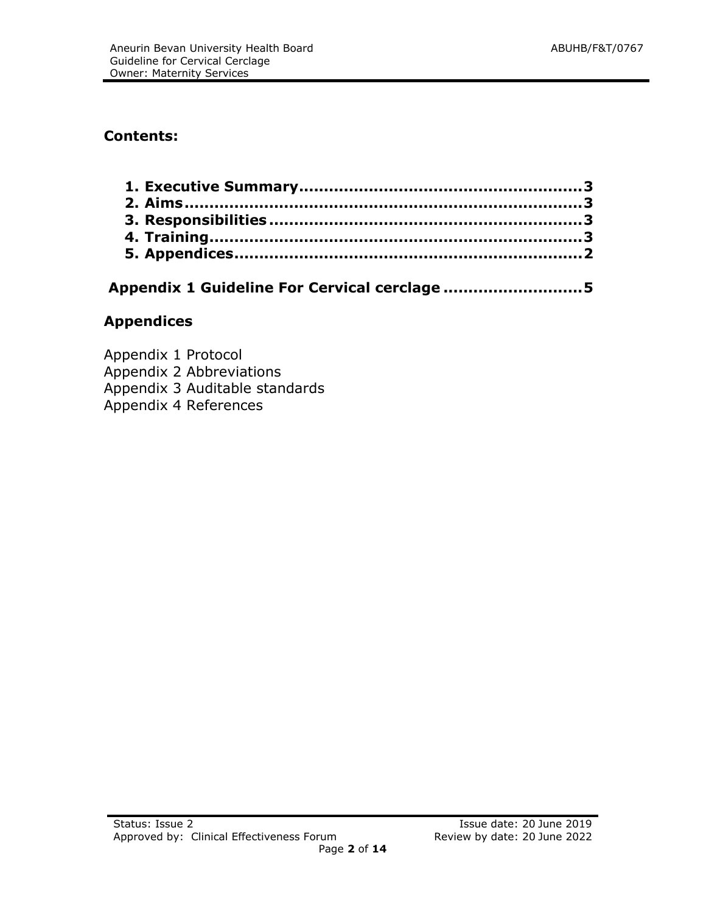# **Contents:**

# **Appendix 1 Guideline For Cervical cerclage ............................5**

# **Appendices**

Appendix 1 Protocol Appendix 2 Abbreviations Appendix 3 Auditable standards Appendix 4 References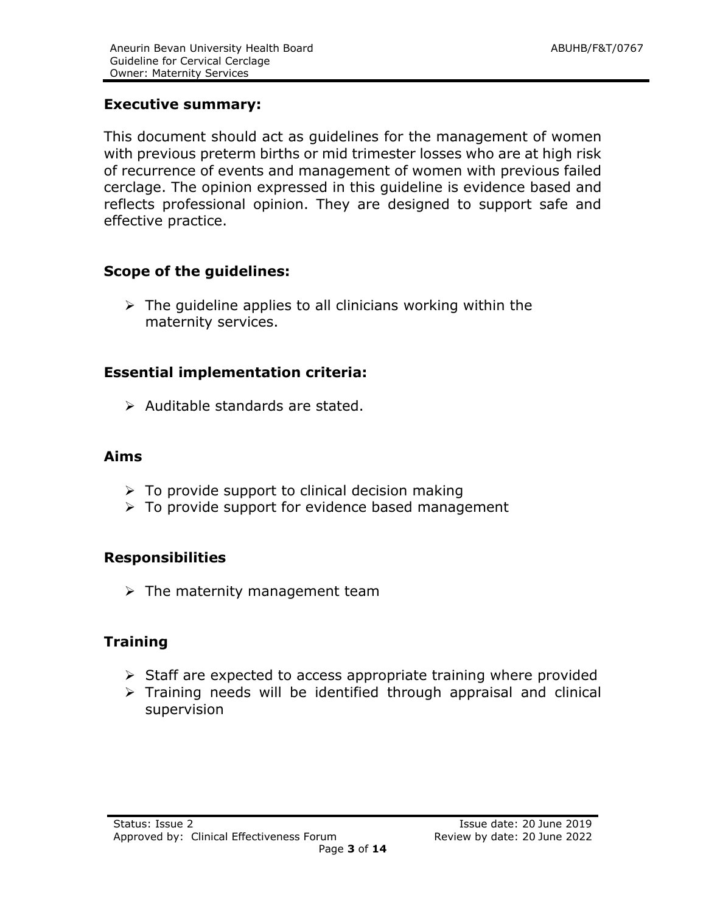# **Executive summary:**

This document should act as guidelines for the management of women with previous preterm births or mid trimester losses who are at high risk of recurrence of events and management of women with previous failed cerclage. The opinion expressed in this guideline is evidence based and reflects professional opinion. They are designed to support safe and effective practice.

# **Scope of the guidelines:**

 $\triangleright$  The guideline applies to all clinicians working within the maternity services.

# **Essential implementation criteria:**

 $\triangleright$  Auditable standards are stated.

#### **Aims**

- $\triangleright$  To provide support to clinical decision making
- $\triangleright$  To provide support for evidence based management

# **Responsibilities**

 $\triangleright$  The maternity management team

# **Training**

- $\triangleright$  Staff are expected to access appropriate training where provided
- $\triangleright$  Training needs will be identified through appraisal and clinical supervision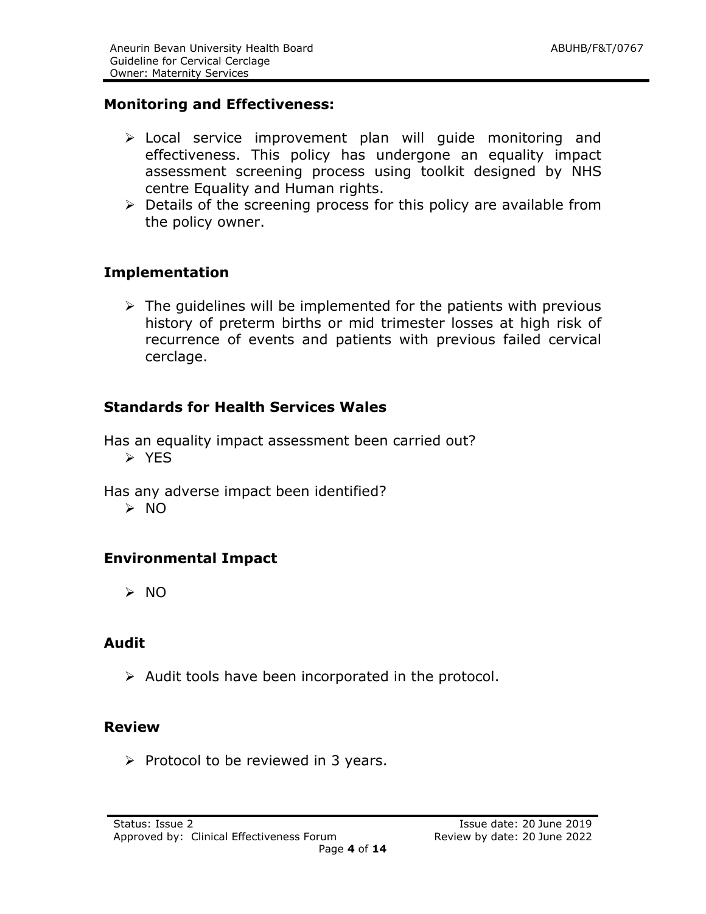# **Monitoring and Effectiveness:**

- Local service improvement plan will guide monitoring and effectiveness. This policy has undergone an equality impact assessment screening process using toolkit designed by NHS centre Equality and Human rights.
- $\triangleright$  Details of the screening process for this policy are available from the policy owner.

#### **Implementation**

 $\triangleright$  The quidelines will be implemented for the patients with previous history of preterm births or mid trimester losses at high risk of recurrence of events and patients with previous failed cervical cerclage.

#### **Standards for Health Services Wales**

Has an equality impact assessment been carried out? > YFS

Has any adverse impact been identified?

 $> 0$ 

# **Environmental Impact**

NO

#### **Audit**

 $\triangleright$  Audit tools have been incorporated in the protocol.

#### **Review**

 $\triangleright$  Protocol to be reviewed in 3 years.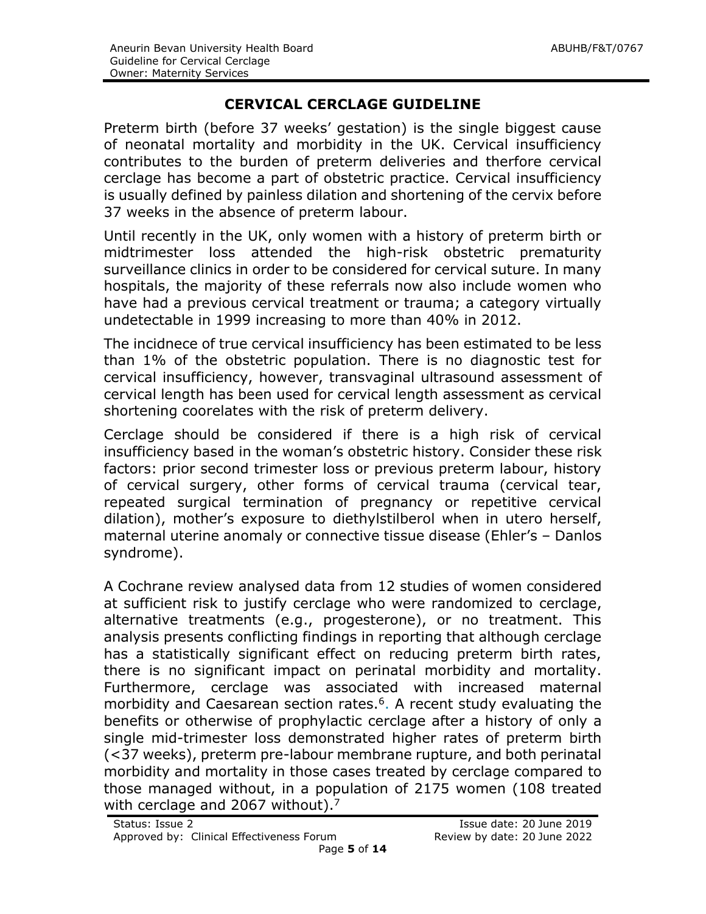# **CERVICAL CERCLAGE GUIDELINE**

Preterm birth (before 37 weeks' gestation) is the single biggest cause of neonatal mortality and morbidity in the UK. Cervical insufficiency contributes to the burden of preterm deliveries and therfore cervical cerclage has become a part of obstetric practice. Cervical insufficiency is usually defined by painless dilation and shortening of the cervix before 37 weeks in the absence of preterm labour.

Until recently in the UK, only women with a history of preterm birth or midtrimester loss attended the high-risk obstetric prematurity surveillance clinics in order to be considered for cervical suture. In many hospitals, the majority of these referrals now also include women who have had a previous cervical treatment or trauma; a category virtually undetectable in 1999 increasing to more than 40% in 2012.

The incidnece of true cervical insufficiency has been estimated to be less than 1% of the obstetric population. There is no diagnostic test for cervical insufficiency, however, transvaginal ultrasound assessment of cervical length has been used for cervical length assessment as cervical shortening coorelates with the risk of preterm delivery.

Cerclage should be considered if there is a high risk of cervical insufficiency based in the woman's obstetric history. Consider these risk factors: prior second trimester loss or previous preterm labour, history of cervical surgery, other forms of cervical trauma (cervical tear, repeated surgical termination of pregnancy or repetitive cervical dilation), mother's exposure to diethylstilberol when in utero herself, maternal uterine anomaly or connective tissue disease (Ehler's – Danlos syndrome).

A Cochrane review analysed data from 12 studies of women considered at sufficient risk to justify cerclage who were randomized to cerclage, alternative treatments (e.g., progesterone), or no treatment. This analysis presents conflicting findings in reporting that although cerclage has a statistically significant effect on reducing preterm birth rates, there is no significant impact on perinatal morbidity and mortality. Furthermore, cerclage was associated with increased maternal morbidity and Caesarean section rates.<sup>6</sup>. A recent study evaluating the benefits or otherwise of prophylactic cerclage after a history of only a single mid-trimester loss demonstrated higher rates of preterm birth (<37 weeks), preterm pre-labour membrane rupture, and both perinatal morbidity and mortality in those cases treated by cerclage compared to those managed without, in a population of 2175 women (108 treated with cerclage and 2067 without).<sup>7</sup>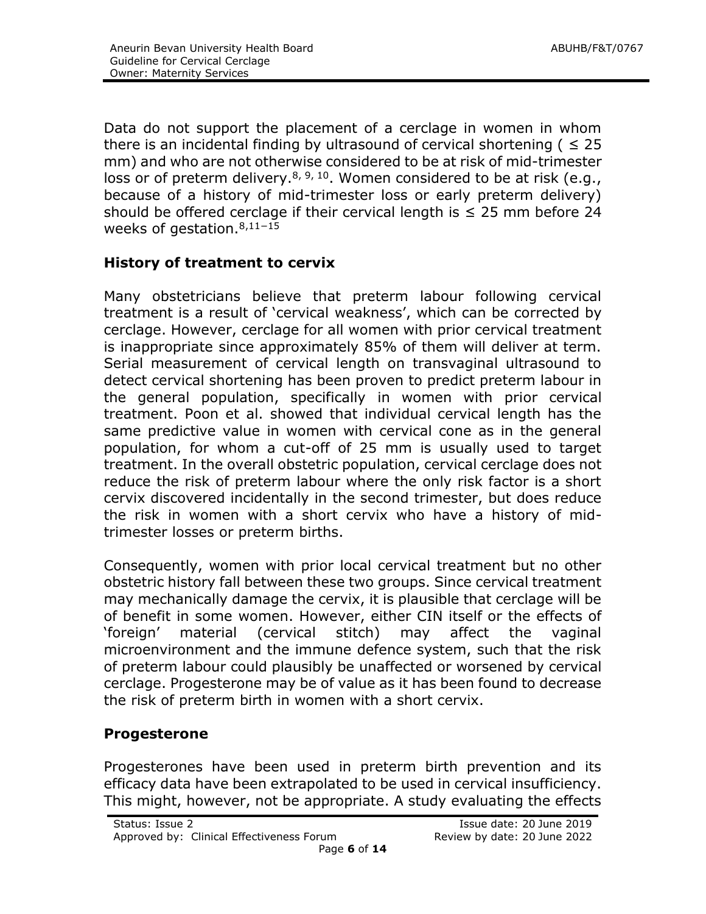Data do not support the placement of a cerclage in women in whom there is an incidental finding by ultrasound of cervical shortening ( $\leq 25$ mm) and who are not otherwise considered to be at risk of mid-trimester loss or of preterm delivery.<sup>8, 9, 10</sup>. Women considered to be at risk (e.g., because of a history of mid-trimester loss or early preterm delivery) should be offered cerclage if their cervical length is  $\leq$  25 mm before 24 weeks of gestation.<sup>8,11-15</sup>

# **History of treatment to cervix**

Many obstetricians believe that preterm labour following cervical treatment is a result of 'cervical weakness', which can be corrected by cerclage. However, cerclage for all women with prior cervical treatment is inappropriate since approximately 85% of them will deliver at term. Serial measurement of cervical length on transvaginal ultrasound to detect cervical shortening has been proven to predict preterm labour in the general population, specifically in women with prior cervical treatment. Poon et al. showed that individual cervical length has the same predictive value in women with cervical cone as in the general population, for whom a cut-off of 25 mm is usually used to target treatment. In the overall obstetric population, cervical cerclage does not reduce the risk of preterm labour where the only risk factor is a short cervix discovered incidentally in the second trimester, but does reduce the risk in women with a short cervix who have a history of midtrimester losses or preterm births.

Consequently, women with prior local cervical treatment but no other obstetric history fall between these two groups. Since cervical treatment may mechanically damage the cervix, it is plausible that cerclage will be of benefit in some women. However, either CIN itself or the effects of 'foreign' material (cervical stitch) may affect the vaginal microenvironment and the immune defence system, such that the risk of preterm labour could plausibly be unaffected or worsened by cervical cerclage. Progesterone may be of value as it has been found to decrease the risk of preterm birth in women with a short cervix.

# **Progesterone**

Progesterones have been used in preterm birth prevention and its efficacy data have been extrapolated to be used in cervical insufficiency. This might, however, not be appropriate. A study evaluating the effects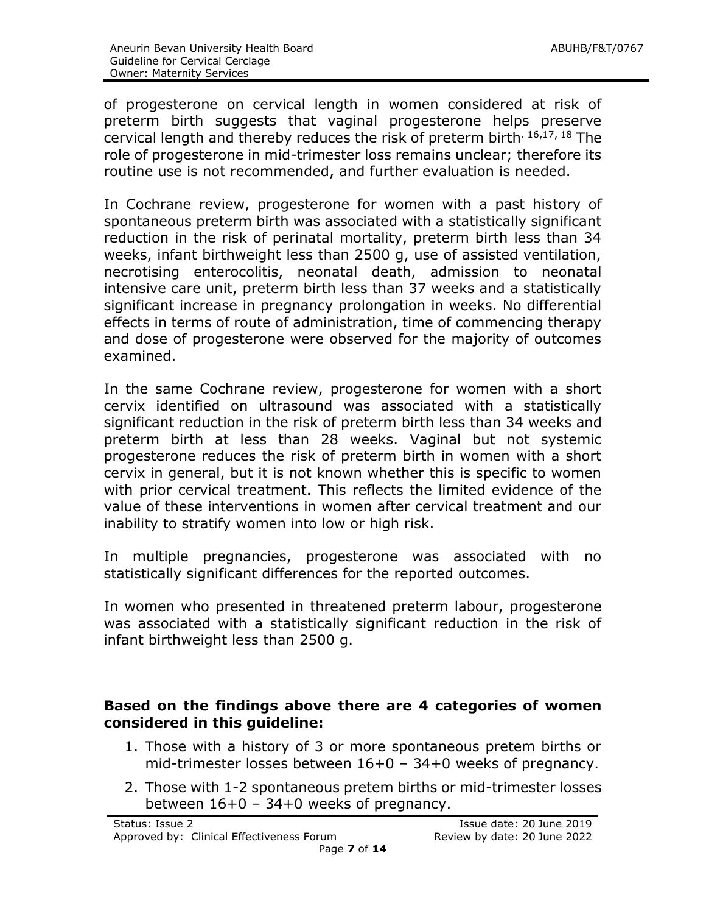of progesterone on cervical length in women considered at risk of preterm birth suggests that vaginal progesterone helps preserve cervical length and thereby reduces the risk of preterm birth. 16,17, 18 The role of progesterone in mid-trimester loss remains unclear; therefore its routine use is not recommended, and further evaluation is needed.

In Cochrane review, progesterone for women with a past history of spontaneous preterm birth was associated with a statistically significant reduction in the risk of perinatal mortality, preterm birth less than 34 weeks, infant birthweight less than 2500 g, use of assisted ventilation, necrotising enterocolitis, neonatal death, admission to neonatal intensive care unit, preterm birth less than 37 weeks and a statistically significant increase in pregnancy prolongation in weeks. No differential effects in terms of route of administration, time of commencing therapy and dose of progesterone were observed for the majority of outcomes examined.

In the same Cochrane review, progesterone for women with a short cervix identified on ultrasound was associated with a statistically significant reduction in the risk of preterm birth less than 34 weeks and preterm birth at less than 28 weeks. Vaginal but not systemic progesterone reduces the risk of preterm birth in women with a short cervix in general, but it is not known whether this is specific to women with prior cervical treatment. This reflects the limited evidence of the value of these interventions in women after cervical treatment and our inability to stratify women into low or high risk.

In multiple pregnancies, progesterone was associated with no statistically significant differences for the reported outcomes.

In women who presented in threatened preterm labour, progesterone was associated with a statistically significant reduction in the risk of infant birthweight less than 2500 g.

#### **Based on the findings above there are 4 categories of women considered in this guideline:**

- 1. Those with a history of 3 or more spontaneous pretem births or mid-trimester losses between 16+0 – 34+0 weeks of pregnancy.
- 2. Those with 1-2 spontaneous pretem births or mid-trimester losses between 16+0 – 34+0 weeks of pregnancy.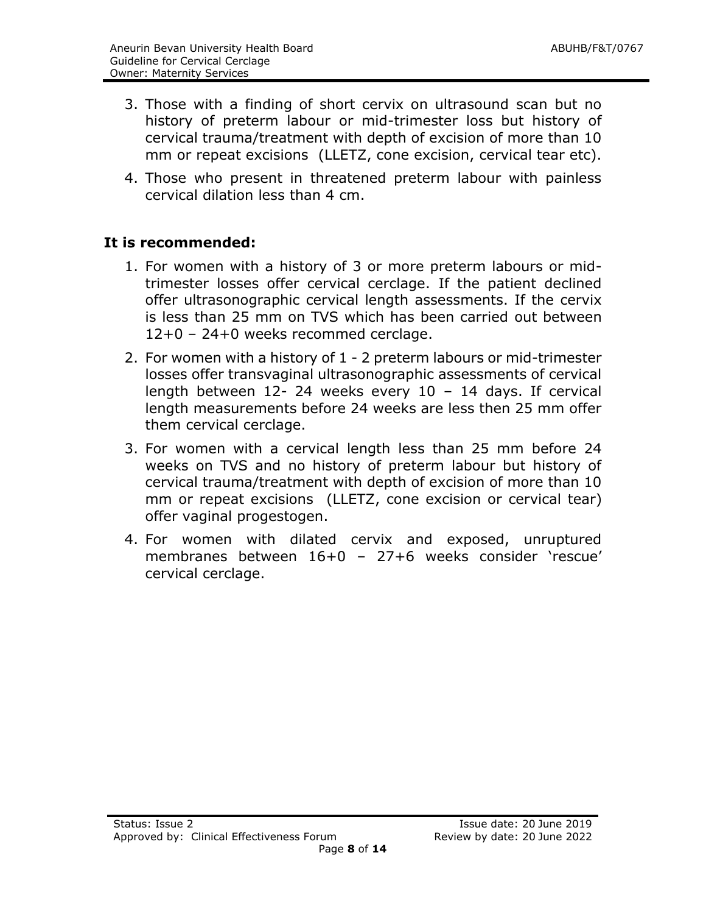- 3. Those with a finding of short cervix on ultrasound scan but no history of preterm labour or mid-trimester loss but history of cervical trauma/treatment with depth of excision of more than 10 mm or repeat excisions (LLETZ, cone excision, cervical tear etc).
- 4. Those who present in threatened preterm labour with painless cervical dilation less than 4 cm.

#### **It is recommended:**

- 1. For women with a history of 3 or more preterm labours or midtrimester losses offer cervical cerclage. If the patient declined offer ultrasonographic cervical length assessments. If the cervix is less than 25 mm on TVS which has been carried out between 12+0 – 24+0 weeks recommed cerclage.
- 2. For women with a history of 1 2 preterm labours or mid-trimester losses offer transvaginal ultrasonographic assessments of cervical length between 12- 24 weeks every 10 – 14 days. If cervical length measurements before 24 weeks are less then 25 mm offer them cervical cerclage.
- 3. For women with a cervical length less than 25 mm before 24 weeks on TVS and no history of preterm labour but history of cervical trauma/treatment with depth of excision of more than 10 mm or repeat excisions (LLETZ, cone excision or cervical tear) offer vaginal progestogen.
- 4. For women with dilated cervix and exposed, unruptured membranes between 16+0 – 27+6 weeks consider 'rescue' cervical cerclage.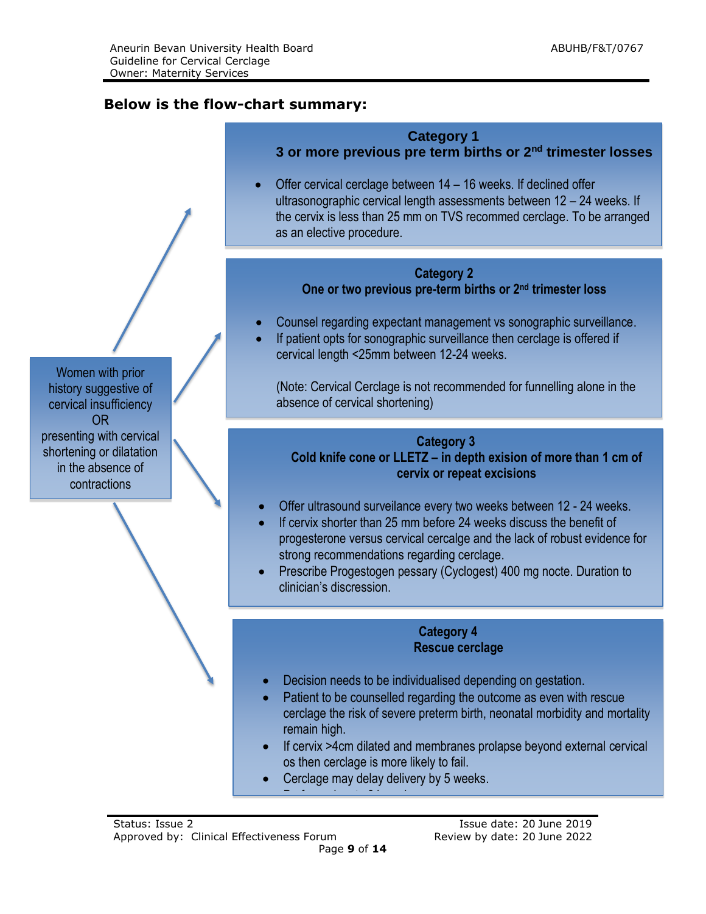# **Below is the flow-chart summary:**

|                                                                                           | <b>Category 1</b><br>3 or more previous pre term births or 2 <sup>nd</sup> trimester losses                                                                                                                                                                                                                                                                                                                                                                                                     |
|-------------------------------------------------------------------------------------------|-------------------------------------------------------------------------------------------------------------------------------------------------------------------------------------------------------------------------------------------------------------------------------------------------------------------------------------------------------------------------------------------------------------------------------------------------------------------------------------------------|
|                                                                                           | Offer cervical cerclage between 14 – 16 weeks. If declined offer<br>ultrasonographic cervical length assessments between 12 - 24 weeks. If<br>the cervix is less than 25 mm on TVS recommed cerclage. To be arranged<br>as an elective procedure.                                                                                                                                                                                                                                               |
| Women with prior<br>history suggestive of<br>cervical insufficiency<br><b>OR</b>          | <b>Category 2</b><br>One or two previous pre-term births or 2 <sup>nd</sup> trimester loss<br>Counsel regarding expectant management vs sonographic surveillance.<br>If patient opts for sonographic surveillance then cerclage is offered if<br>cervical length <25mm between 12-24 weeks.<br>(Note: Cervical Cerclage is not recommended for funnelling alone in the<br>absence of cervical shortening)                                                                                       |
| presenting with cervical<br>shortening or dilatation<br>in the absence of<br>contractions | <b>Category 3</b><br>Cold knife cone or LLETZ - in depth exision of more than 1 cm of<br>cervix or repeat excisions<br>Offer ultrasound surveilance every two weeks between 12 - 24 weeks.<br>If cervix shorter than 25 mm before 24 weeks discuss the benefit of<br>progesterone versus cervical cercalge and the lack of robust evidence for<br>strong recommendations regarding cerclage.<br>Prescribe Progestogen pessary (Cyclogest) 400 mg nocte. Duration to<br>clinician's discression. |
|                                                                                           | <b>Category 4</b><br><b>Rescue cerclage</b><br>Decision needs to be individualised depending on gestation.<br>$\bullet$<br>Patient to be counselled regarding the outcome as even with rescue<br>cerclage the risk of severe preterm birth, neonatal morbidity and mortality<br>remain high.<br>If cervix >4cm dilated and membranes prolapse beyond external cervical<br>$\bullet$<br>os then cerclage is more likely to fail.<br>Cerclage may delay delivery by 5 weeks.                      |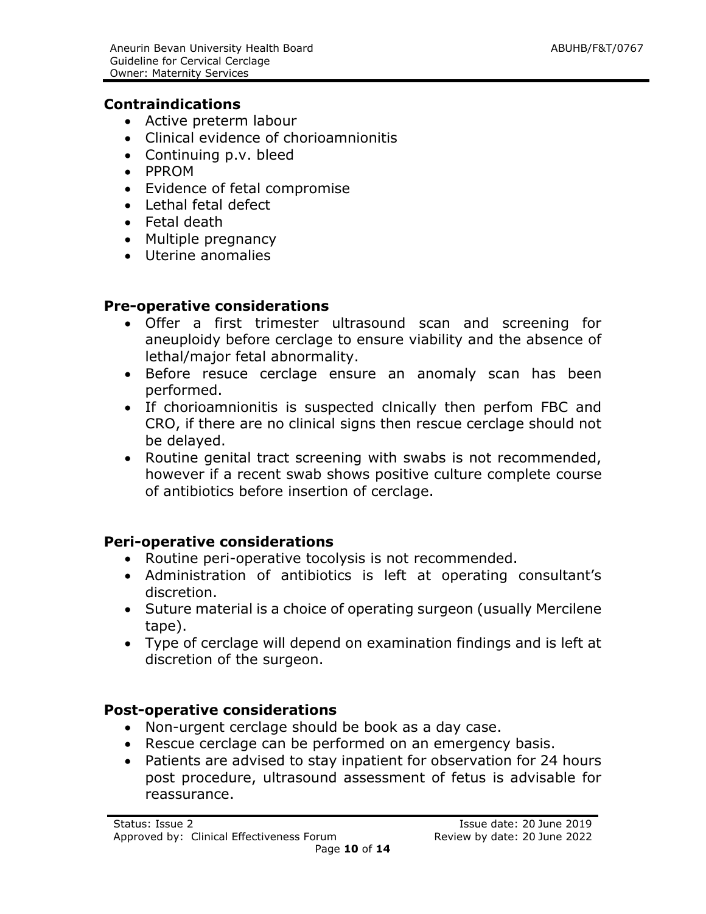#### **Contraindications**

- Active preterm labour
- Clinical evidence of chorioamnionitis
- Continuing p.v. bleed
- PPROM
- Evidence of fetal compromise
- Lethal fetal defect
- Fetal death
- Multiple pregnancy
- Uterine anomalies

#### **Pre-operative considerations**

- Offer a first trimester ultrasound scan and screening for aneuploidy before cerclage to ensure viability and the absence of lethal/major fetal abnormality.
- Before resuce cerclage ensure an anomaly scan has been performed.
- If chorioamnionitis is suspected clnically then perfom FBC and CRO, if there are no clinical signs then rescue cerclage should not be delayed.
- Routine genital tract screening with swabs is not recommended, however if a recent swab shows positive culture complete course of antibiotics before insertion of cerclage.

# **Peri-operative considerations**

- Routine peri-operative tocolysis is not recommended.
- Administration of antibiotics is left at operating consultant's discretion.
- Suture material is a choice of operating surgeon (usually Mercilene tape).
- Type of cerclage will depend on examination findings and is left at discretion of the surgeon.

#### **Post-operative considerations**

- Non-urgent cerclage should be book as a day case.
- Rescue cerclage can be performed on an emergency basis.
- Patients are advised to stay inpatient for observation for 24 hours post procedure, ultrasound assessment of fetus is advisable for reassurance.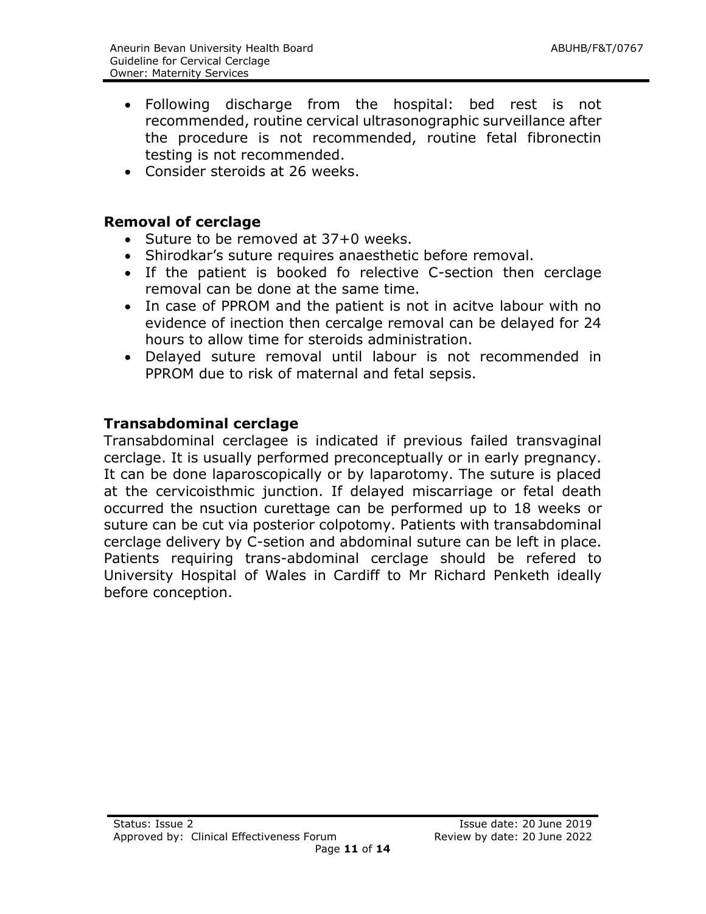- Following discharge from the hospital: bed rest is not recommended, routine cervical ultrasonographic surveillance after the procedure is not recommended, routine fetal fibronectin testing is not recommended.
- Consider steroids at 26 weeks.

#### **Removal of cerclage**

- Suture to be removed at 37+0 weeks.
- Shirodkar's suture requires anaesthetic before removal.
- If the patient is booked fo relective C-section then cerclage removal can be done at the same time.
- In case of PPROM and the patient is not in acitve labour with no evidence of inection then cercalge removal can be delayed for 24 hours to allow time for steroids administration.
- Delayed suture removal until labour is not recommended in PPROM due to risk of maternal and fetal sepsis.

#### **Transabdominal cerclage**

Transabdominal cerclagee is indicated if previous failed transvaginal cerclage. It is usually performed preconceptually or in early pregnancy. It can be done laparoscopically or by laparotomy. The suture is placed at the cervicoisthmic junction. If delayed miscarriage or fetal death occurred the nsuction curettage can be performed up to 18 weeks or suture can be cut via posterior colpotomy. Patients with transabdominal cerclage delivery by C-setion and abdominal suture can be left in place. Patients requiring trans-abdominal cerclage should be refered to University Hospital of Wales in Cardiff to Mr Richard Penketh ideally before conception.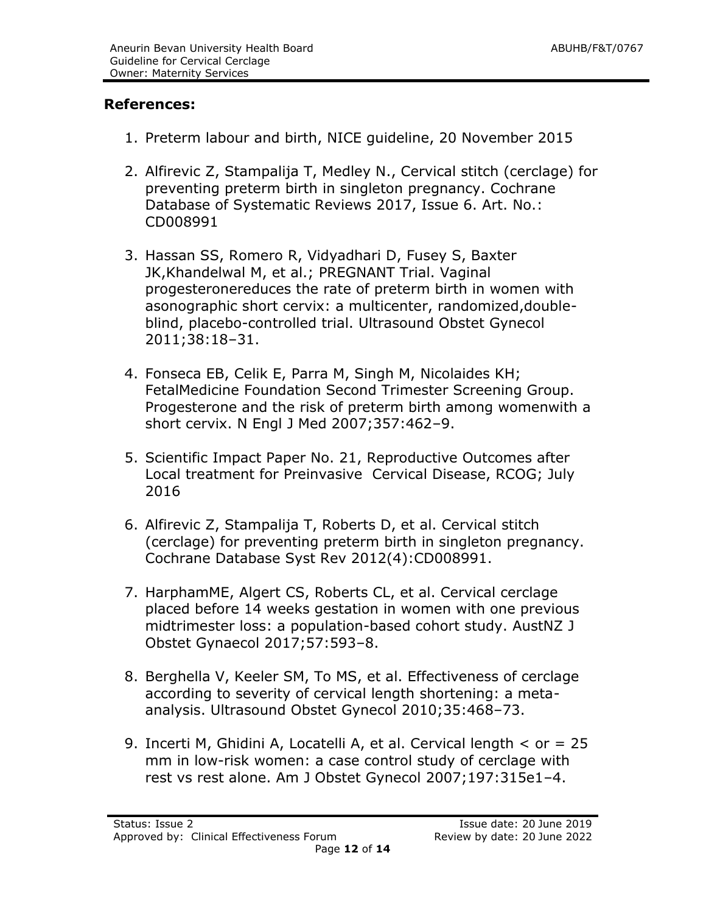#### **References:**

- 1. Preterm labour and birth, NICE guideline, 20 November 2015
- 2. Alfirevic Z, Stampalija T, Medley N., Cervical stitch (cerclage) for preventing preterm birth in singleton pregnancy. Cochrane Database of Systematic Reviews 2017, Issue 6. Art. No.: CD008991
- 3. Hassan SS, Romero R, Vidyadhari D, Fusey S, Baxter JK,Khandelwal M, et al.; PREGNANT Trial. Vaginal progesteronereduces the rate of preterm birth in women with asonographic short cervix: a multicenter, randomized,doubleblind, placebo-controlled trial. Ultrasound Obstet Gynecol 2011;38:18–31.
- 4. Fonseca EB, Celik E, Parra M, Singh M, Nicolaides KH; FetalMedicine Foundation Second Trimester Screening Group. Progesterone and the risk of preterm birth among womenwith a short cervix. N Engl J Med 2007;357:462–9.
- 5. Scientific Impact Paper No. 21, Reproductive Outcomes after Local treatment for Preinvasive Cervical Disease, RCOG; July 2016
- 6. Alfirevic Z, Stampalija T, Roberts D, et al. Cervical stitch (cerclage) for preventing preterm birth in singleton pregnancy. Cochrane Database Syst Rev 2012(4):CD008991.
- 7. HarphamME, Algert CS, Roberts CL, et al. Cervical cerclage placed before 14 weeks gestation in women with one previous midtrimester loss: a population-based cohort study. AustNZ J Obstet Gynaecol 2017;57:593–8.
- 8. Berghella V, Keeler SM, To MS, et al. Effectiveness of cerclage according to severity of cervical length shortening: a metaanalysis. Ultrasound Obstet Gynecol 2010;35:468–73.
- 9. Incerti M, Ghidini A, Locatelli A, et al. Cervical length < or = 25 mm in low-risk women: a case control study of cerclage with rest vs rest alone. Am J Obstet Gynecol 2007;197:315e1–4.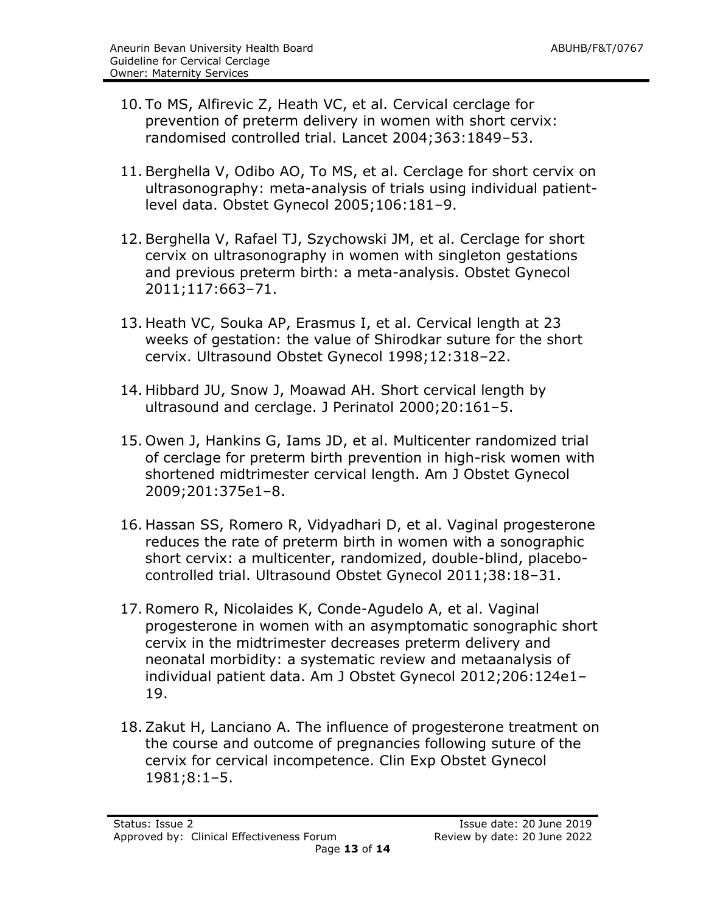- 10. To MS, Alfirevic Z, Heath VC, et al. Cervical cerclage for prevention of preterm delivery in women with short cervix: randomised controlled trial. Lancet 2004;363:1849–53.
- 11. Berghella V, Odibo AO, To MS, et al. Cerclage for short cervix on ultrasonography: meta-analysis of trials using individual patientlevel data. Obstet Gynecol 2005;106:181–9.
- 12. Berghella V, Rafael TJ, Szychowski JM, et al. Cerclage for short cervix on ultrasonography in women with singleton gestations and previous preterm birth: a meta-analysis. Obstet Gynecol 2011;117:663–71.
- 13. Heath VC, Souka AP, Erasmus I, et al. Cervical length at 23 weeks of gestation: the value of Shirodkar suture for the short cervix. Ultrasound Obstet Gynecol 1998;12:318–22.
- 14. Hibbard JU, Snow J, Moawad AH. Short cervical length by ultrasound and cerclage. J Perinatol 2000;20:161–5.
- 15. Owen J, Hankins G, Iams JD, et al. Multicenter randomized trial of cerclage for preterm birth prevention in high-risk women with shortened midtrimester cervical length. Am J Obstet Gynecol 2009;201:375e1–8.
- 16. Hassan SS, Romero R, Vidyadhari D, et al. Vaginal progesterone reduces the rate of preterm birth in women with a sonographic short cervix: a multicenter, randomized, double-blind, placebocontrolled trial. Ultrasound Obstet Gynecol 2011;38:18–31.
- 17. Romero R, Nicolaides K, Conde-Agudelo A, et al. Vaginal progesterone in women with an asymptomatic sonographic short cervix in the midtrimester decreases preterm delivery and neonatal morbidity: a systematic review and metaanalysis of individual patient data. Am J Obstet Gynecol 2012;206:124e1– 19.
- 18. Zakut H, Lanciano A. The influence of progesterone treatment on the course and outcome of pregnancies following suture of the cervix for cervical incompetence. Clin Exp Obstet Gynecol 1981;8:1–5.